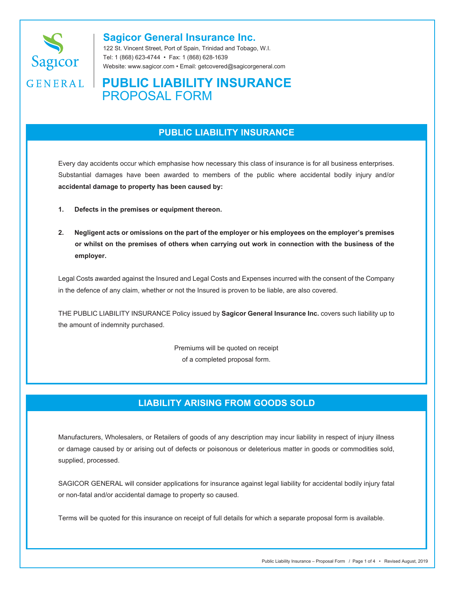

## **Sagicor General Insurance Inc.**

122 St. Vincent Street, Port of Spain, Trinidad and Tobago, W.I. Tel: 1 (868) 623-4744 • Fax: 1 (868) 628-1639 Website: www.sagicor.com • Email: getcovered@sagicorgeneral.com

# **GENERAL | PUBLIC LIABILITY INSURANCE** PROPOSAL FORM

## **PUBLIC LIABILITY INSURANCE**

Every day accidents occur which emphasise how necessary this class of insurance is for all business enterprises. Substantial damages have been awarded to members of the public where accidental bodily injury and/or **accidental damage to property has been caused by:**

- **1. Defects in the premises or equipment thereon.**
- 2. Negligent acts or omissions on the part of the employer or his employees on the employer's premises **or whilst on the premises of others when carrying out work in connection with the business of the employer.**

Legal Costs awarded against the Insured and Legal Costs and Expenses incurred with the consent of the Company in the defence of any claim, whether or not the Insured is proven to be liable, are also covered.

THE PUBLIC LIABILITY INSURANCE Policy issued by **Sagicor General Insurance Inc.** covers such liability up to the amount of indemnity purchased.

> Premiums will be quoted on receipt of a completed proposal form.

# **LIABILITY ARISING FROM GOODS SOLD**

Manufacturers, Wholesalers, or Retailers of goods of any description may incur liability in respect of injury illness or damage caused by or arising out of defects or poisonous or deleterious matter in goods or commodities sold, supplied, processed.

SAGICOR GENERAL will consider applications for insurance against legal liability for accidental bodily injury fatal or non-fatal and/or accidental damage to property so caused.

Terms will be quoted for this insurance on receipt of full details for which a separate proposal form is available.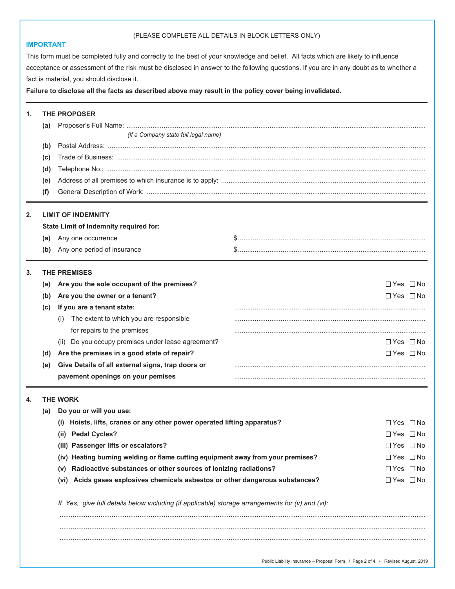#### (PLEASE COMPLETE ALL DETAILS IN BLOCK LETTERS ONLY)

### **IMPORTANT**

This form must be completed fully and correctly to the best of your knowledge and belief. All facts which are likely to influence acceptance or assessment of the risk must be disclosed in answer to the following questions. If you are in any doubt as to whether a fact is material, you should disclose it.

**Failure to disclose all the facts as described above may result in the policy cover being invalidated.**

| 1. | THE PROPOSER                           |                                                                                                  |                      |  |  |  |  |  |
|----|----------------------------------------|--------------------------------------------------------------------------------------------------|----------------------|--|--|--|--|--|
|    | (a)                                    |                                                                                                  |                      |  |  |  |  |  |
|    |                                        |                                                                                                  |                      |  |  |  |  |  |
|    | (b)                                    |                                                                                                  |                      |  |  |  |  |  |
|    | (c)                                    |                                                                                                  |                      |  |  |  |  |  |
|    | (d)                                    |                                                                                                  |                      |  |  |  |  |  |
|    | (e)                                    |                                                                                                  |                      |  |  |  |  |  |
|    | (f)                                    |                                                                                                  |                      |  |  |  |  |  |
| 2. | <b>LIMIT OF INDEMNITY</b>              |                                                                                                  |                      |  |  |  |  |  |
|    | State Limit of Indemnity required for: |                                                                                                  |                      |  |  |  |  |  |
|    | (a)                                    | Any one occurrence                                                                               |                      |  |  |  |  |  |
|    | (b)                                    | Any one period of insurance                                                                      |                      |  |  |  |  |  |
| 3. | <b>THE PREMISES</b>                    |                                                                                                  |                      |  |  |  |  |  |
|    | (a)                                    | Are you the sole occupant of the premises?                                                       | $\Box$ Yes $\Box$ No |  |  |  |  |  |
|    | (b)                                    | Are you the owner or a tenant?                                                                   | $\Box$ Yes $\Box$ No |  |  |  |  |  |
|    | (c)                                    | If you are a tenant state:                                                                       |                      |  |  |  |  |  |
|    |                                        | The extent to which you are responsible<br>(i)                                                   |                      |  |  |  |  |  |
|    |                                        | for repairs to the premises                                                                      |                      |  |  |  |  |  |
|    |                                        | (ii) Do you occupy premises under lease agreement?                                               | $\Box$ Yes $\Box$ No |  |  |  |  |  |
|    | (d)                                    | Are the premises in a good state of repair?                                                      | $\Box$ Yes $\Box$ No |  |  |  |  |  |
|    | (e)                                    | Give Details of all external signs, trap doors or                                                |                      |  |  |  |  |  |
|    |                                        | pavement openings on your pemises                                                                |                      |  |  |  |  |  |
| 4. | <b>THE WORK</b>                        |                                                                                                  |                      |  |  |  |  |  |
|    | (a)                                    | Do you or will you use:                                                                          |                      |  |  |  |  |  |
|    |                                        | (i) Hoists, lifts, cranes or any other power operated lifting apparatus?                         | $\Box$ Yes $\Box$ No |  |  |  |  |  |
|    |                                        | (ii) Pedal Cycles?                                                                               | $\Box$ Yes $\Box$ No |  |  |  |  |  |
|    |                                        | (iii) Passenger lifts or escalators?                                                             | $\Box$ Yes $\Box$ No |  |  |  |  |  |
|    |                                        | (iv) Heating burning welding or flame cutting equipment away from your premises?                 | $\Box$ Yes $\Box$ No |  |  |  |  |  |
|    |                                        | Radioactive substances or other sources of ionizing radiations?<br>(v)                           | $\Box$ Yes $\Box$ No |  |  |  |  |  |
|    |                                        | Acids gases explosives chemicals asbestos or other dangerous substances?<br>(vi)                 | $\Box$ Yes $\Box$ No |  |  |  |  |  |
|    |                                        | If Yes, give full details below including (if applicable) storage arrangements for (v) and (vi): |                      |  |  |  |  |  |
|    |                                        |                                                                                                  |                      |  |  |  |  |  |
|    |                                        |                                                                                                  |                      |  |  |  |  |  |
|    |                                        |                                                                                                  |                      |  |  |  |  |  |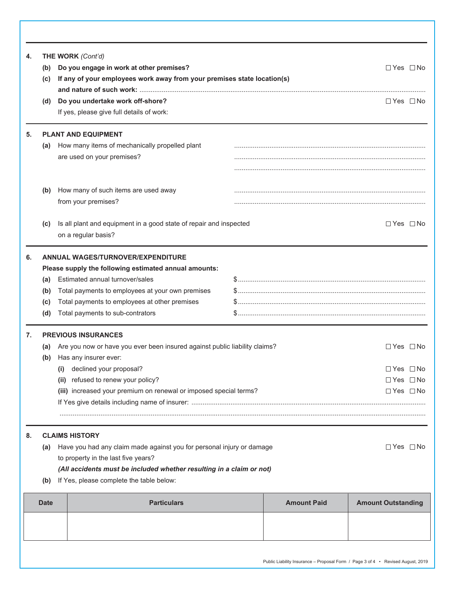| 5. | (d)                                                               |                                                                               |                      | If any of your employees work away from your premises state location(s) |                           |  |  |  |
|----|-------------------------------------------------------------------|-------------------------------------------------------------------------------|----------------------|-------------------------------------------------------------------------|---------------------------|--|--|--|
|    |                                                                   |                                                                               |                      |                                                                         |                           |  |  |  |
|    |                                                                   | Do you undertake work off-shore?<br>If yes, please give full details of work: |                      |                                                                         | $\Box$ Yes $\Box$ No      |  |  |  |
|    |                                                                   |                                                                               |                      |                                                                         |                           |  |  |  |
|    | (a)                                                               | <b>PLANT AND EQUIPMENT</b><br>How many items of mechanically propelled plant  |                      |                                                                         |                           |  |  |  |
|    |                                                                   | are used on your premises?                                                    |                      |                                                                         |                           |  |  |  |
|    |                                                                   |                                                                               |                      |                                                                         |                           |  |  |  |
|    | (b)                                                               | How many of such items are used away                                          |                      |                                                                         |                           |  |  |  |
|    |                                                                   | from your premises?                                                           |                      |                                                                         |                           |  |  |  |
|    |                                                                   |                                                                               |                      |                                                                         |                           |  |  |  |
|    | (c)                                                               | Is all plant and equipment in a good state of repair and inspected            |                      |                                                                         | $\Box$ Yes $\Box$ No      |  |  |  |
|    |                                                                   | on a regular basis?                                                           |                      |                                                                         |                           |  |  |  |
| 6. | ANNUAL WAGES/TURNOVER/EXPENDITURE                                 |                                                                               |                      |                                                                         |                           |  |  |  |
|    |                                                                   | Please supply the following estimated annual amounts:                         |                      |                                                                         |                           |  |  |  |
|    | (a)                                                               | Estimated annual turnover/sales                                               |                      |                                                                         |                           |  |  |  |
|    | (b)                                                               | Total payments to employees at your own premises                              |                      |                                                                         |                           |  |  |  |
|    | (c)                                                               | Total payments to employees at other premises                                 |                      |                                                                         |                           |  |  |  |
|    | (d)                                                               | Total payments to sub-contrators                                              |                      |                                                                         |                           |  |  |  |
| 7. | <b>PREVIOUS INSURANCES</b>                                        |                                                                               |                      |                                                                         |                           |  |  |  |
|    | (a)                                                               | Are you now or have you ever been insured against public liability claims?    | $\Box$ Yes $\Box$ No |                                                                         |                           |  |  |  |
|    | Has any insurer ever:<br>(b)                                      |                                                                               |                      |                                                                         |                           |  |  |  |
|    |                                                                   | (i) declined your proposal?                                                   |                      |                                                                         | $\Box$ Yes $\Box$ No      |  |  |  |
|    |                                                                   | (ii) refused to renew your policy?                                            |                      |                                                                         | $\Box$ Yes $\Box$ No      |  |  |  |
|    | (iii) increased your premium on renewal or imposed special terms? |                                                                               |                      |                                                                         | $\Box$ Yes $\Box$ No      |  |  |  |
|    |                                                                   |                                                                               |                      |                                                                         |                           |  |  |  |
| 8. |                                                                   | <b>CLAIMS HISTORY</b>                                                         |                      |                                                                         |                           |  |  |  |
|    | (a)                                                               | Have you had any claim made against you for personal injury or damage         |                      |                                                                         | $\Box$ Yes $\Box$ No      |  |  |  |
|    |                                                                   | to property in the last five years?                                           |                      |                                                                         |                           |  |  |  |
|    |                                                                   | (All accidents must be included whether resulting in a claim or not)          |                      |                                                                         |                           |  |  |  |
|    | If Yes, please complete the table below:<br>(b)                   |                                                                               |                      |                                                                         |                           |  |  |  |
|    | <b>Date</b>                                                       | <b>Particulars</b>                                                            | <b>Amount Paid</b>   |                                                                         | <b>Amount Outstanding</b> |  |  |  |
|    |                                                                   |                                                                               |                      |                                                                         |                           |  |  |  |
|    |                                                                   |                                                                               |                      |                                                                         |                           |  |  |  |